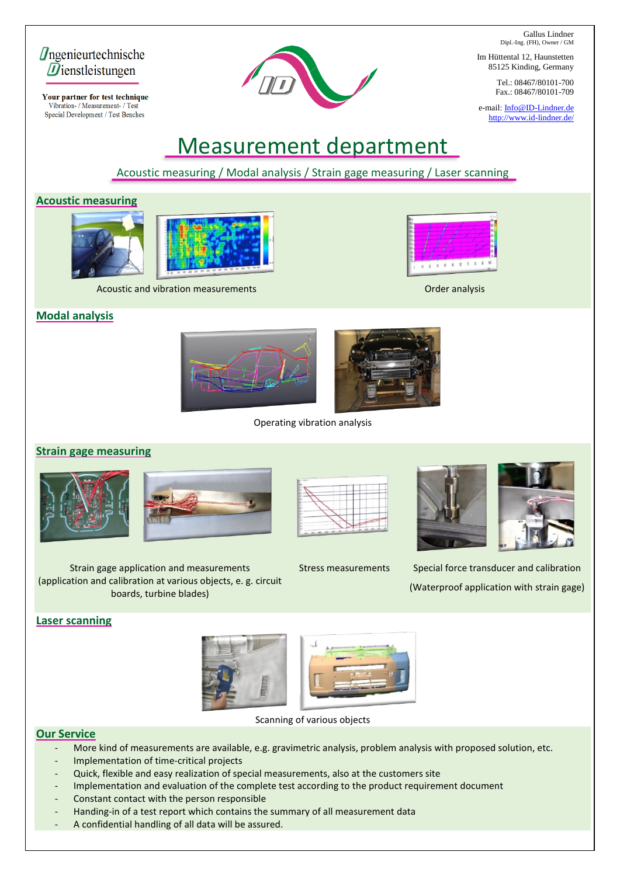Gallus Lindner Dipl.-Ing. (FH), Owner / GM

Im Hüttental 12, Haunstetten 85125 Kinding, Germany

> Tel.: 08467/80101-700 Fax.: 08467/80101-709

e-mail[: Info@ID-Lindner.de](mailto:info@id-lindner.de) <http://www.id-lindner.de/>

Measurement department

Acoustic measuring / Modal analysis / Strain gage measuring / Laser scanning

## **Acoustic measuring**

*<u>Dngenieurtechnische*</u>  $\vec{\boldsymbol{D}}$ ienstleistungen

Your partner for test technique Vibration- / Measurement- / Test Special Development / Test Benches





Acoustic and vibration measurements **Accuration and Science analysis** Order analysis







Operating vibration analysis

## **Strain gage measuring**











Stress measurements Special force transducer and calibration (Waterproof application with strain gage)

## **Laser scanning**





Scanning of various objects

## **Our Service**

- More kind of measurements are available, e.g. gravimetric analysis, problem analysis with proposed solution, etc.
- Implementation of time-critical projects

Strain gage application and measurements (application and calibration at various objects, e. g. circuit boards, turbine blades)

- Quick, flexible and easy realization of special measurements, also at the customers site
- Implementation and evaluation of the complete test according to the product requirement document
- Constant contact with the person responsible
- Handing-in of a test report which contains the summary of all measurement data
- A confidential handling of all data will be assured.